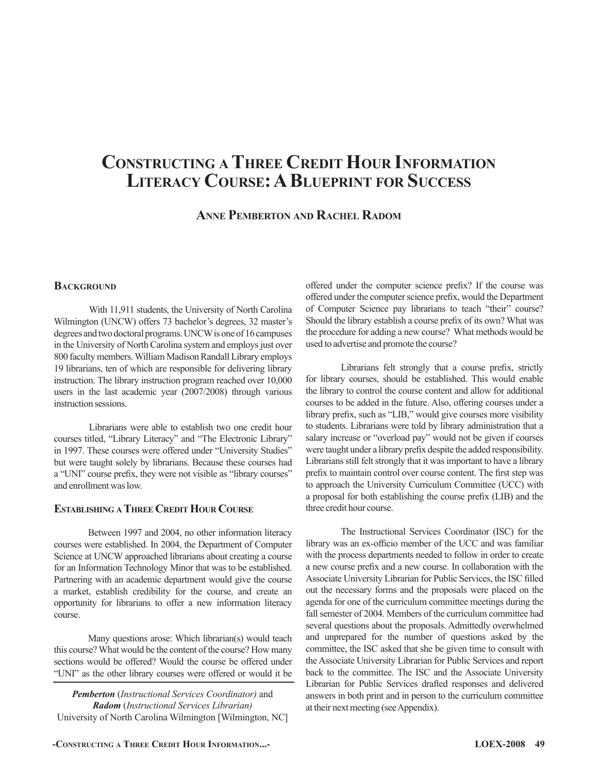# **Constructing a Three Credit Hour Information Literacy Course: ABlueprint for Success**

**Anne Pemberton and Rachel Radom**

# **BACKGROUND**

With 11,911 students, the University of North Carolina Wilmington (UNCW) offers 73 bachelor's degrees, 32 master's degrees and two doctoral programs. UNCW is one of 16 campuses in the University of North Carolina system and employs just over 800 faculty members. William Madison Randall Library employs 19 librarians, ten of which are responsible for delivering library instruction. The library instruction program reached over 10,000 users in the last academic year (2007/2008) through various instruction sessions.

Librarians were able to establish two one credit hour courses titled, "Library Literacy" and "The Electronic Library" in 1997. These courses were offered under "University Studies" but were taught solely by librarians. Because these courses had a "UNI" course prefix, they were not visible as "library courses" and enrollment was low.

#### **Establishing a Three CreditHour Course**

Between 1997 and 2004, no other information literacy courses were established. In 2004, the Department of Computer Science at UNCW approached librarians about creating a course for an Information Technology Minor that was to be established. Partnering with an academic department would give the course a market, establish credibility for the course, and create an opportunity for librarians to offer a new information literacy course.

Many questions arose: Which librarian(s) would teach this course? What would be the content of the course? How many sections would be offered? Would the course be offered under "UNI" as the other library courses were offered or would it be

*Pemberton* (*Instructional Services Coordinator)* and *Radom* (*Instructional Services Librarian)* University of North Carolina Wilmington [Wilmington, NC] offered under the computer science prefix? If the course was offered under the computer science prefix, would the Department of Computer Science pay librarians to teach "their" course? Should the library establish a course prefix of its own? What was the procedure for adding a new course? What methods would be used to advertise and promote the course?

Librarians felt strongly that a course prefix, strictly for library courses, should be established. This would enable the library to control the course content and allow for additional courses to be added in the future. Also, offering courses under a library prefix, such as "LIB," would give courses more visibility to students. Librarians were told by library administration that a salary increase or "overload pay" would not be given if courses were taught under a library prefix despite the added responsibility. Librarians still felt strongly that it was important to have a library prefix to maintain control over course content. The first step was to approach the University Curriculum Committee (UCC) with a proposal for both establishing the course prefix (LIB) and the three credit hour course.

The Instructional Services Coordinator (ISC) for the library was an ex-officio member of the UCC and was familiar with the process departments needed to follow in order to create a new course prefix and a new course. In collaboration with the Associate University Librarian for Public Services, the ISC filled out the necessary forms and the proposals were placed on the agenda for one of the curriculum committee meetings during the fall semester of 2004. Members of the curriculum committee had several questions about the proposals. Admittedly overwhelmed and unprepared for the number of questions asked by the committee, the ISC asked that she be given time to consult with the Associate University Librarian for Public Services and report back to the committee. The ISC and the Associate University Librarian for Public Services drafted responses and delivered answers in both print and in person to the curriculum committee at their next meeting (see Appendix).

**-Constructing a Three Credit Hour Information...- LOEX-2008 49**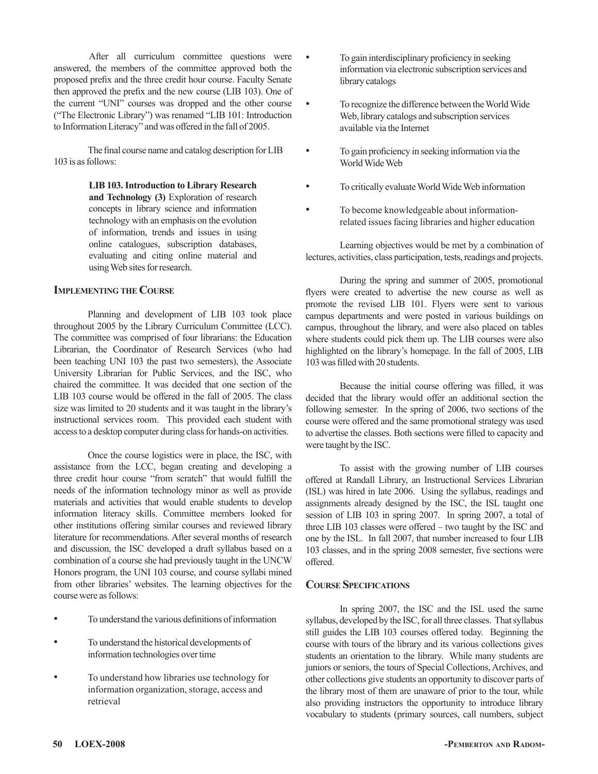After all curriculum committee questions were answered, the members of the committee approved both the proposed prefix and the three credit hour course. Faculty Senate then approved the prefix and the new course (LIB 103). One of the current "UNI" courses was dropped and the other course ("The Electronic Library") was renamed "LIB 101: Introduction to Information Literacy" and was offered in the fall of 2005.

The final course name and catalog description for LIB 103 is as follows:

> **LIB 103. Introduction to Library Research and Technology (3)** Exploration of research concepts in library science and information technology with an emphasis on the evolution of information, trends and issues in using online catalogues, subscription databases, evaluating and citing online material and using Web sites for research.

#### **Implementing the Course**

Planning and development of LIB 103 took place throughout 2005 by the Library Curriculum Committee (LCC). The committee was comprised of four librarians: the Education Librarian, the Coordinator of Research Services (who had been teaching UNI 103 the past two semesters), the Associate University Librarian for Public Services, and the ISC, who chaired the committee. It was decided that one section of the LIB 103 course would be offered in the fall of 2005. The class size was limited to 20 students and it was taught in the library's instructional services room. This provided each student with access to a desktop computer during class for hands-on activities.

Once the course logistics were in place, the ISC, with assistance from the LCC, began creating and developing a three credit hour course "from scratch" that would fulfill the needs of the information technology minor as well as provide materials and activities that would enable students to develop information literacy skills. Committee members looked for other institutions offering similar courses and reviewed library literature for recommendations. After several months of research and discussion, the ISC developed a draft syllabus based on a combination of a course she had previously taught in the UNCW Honors program, the UNI 103 course, and course syllabi mined from other libraries' websites. The learning objectives for the course were as follows:

- To understand the various definitions of information
- To understand the historical developments of information technologies over time
- To understand how libraries use technology for information organization, storage, access and retrieval
- To gain interdisciplinary proficiency in seeking information via electronic subscription services and library catalogs
- To recognize the difference between the World Wide Web, library catalogs and subscription services available via the Internet
- To gain proficiency in seeking information via the World Wide Web
- To critically evaluate World Wide Web information
- To become knowledgeable about informationrelated issues facing libraries and higher education

Learning objectives would be met by a combination of lectures, activities, class participation, tests, readings and projects.

During the spring and summer of 2005, promotional flyers were created to advertise the new course as well as promote the revised LIB 101. Flyers were sent to various campus departments and were posted in various buildings on campus, throughout the library, and were also placed on tables where students could pick them up. The LIB courses were also highlighted on the library's homepage. In the fall of 2005, LIB 103 was filled with 20 students.

Because the initial course offering was filled, it was decided that the library would offer an additional section the following semester. In the spring of 2006, two sections of the course were offered and the same promotional strategy was used to advertise the classes. Both sections were filled to capacity and were taught by the ISC.

To assist with the growing number of LIB courses offered at Randall Library, an Instructional Services Librarian (ISL) was hired in late 2006. Using the syllabus, readings and assignments already designed by the ISC, the ISL taught one session of LIB 103 in spring 2007. In spring 2007, a total of three LIB 103 classes were offered – two taught by the ISC and one by the ISL. In fall 2007, that number increased to four LIB 103 classes, and in the spring 2008 semester, five sections were offered.

#### **Course Specifications**

In spring 2007, the ISC and the ISL used the same syllabus, developed by the ISC, for all three classes. That syllabus still guides the LIB 103 courses offered today. Beginning the course with tours of the library and its various collections gives students an orientation to the library. While many students are juniors or seniors, the tours of Special Collections, Archives, and other collections give students an opportunity to discover parts of the library most of them are unaware of prior to the tour, while also providing instructors the opportunity to introduce library vocabulary to students (primary sources, call numbers, subject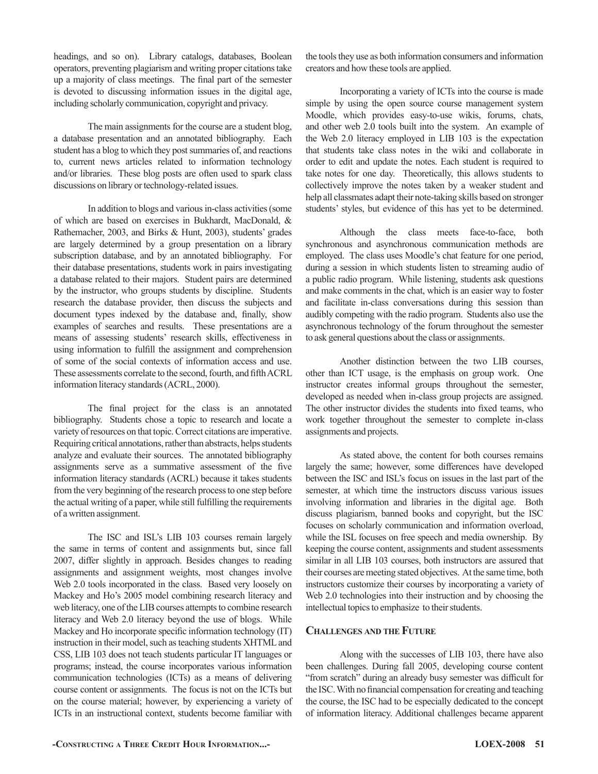headings, and so on). Library catalogs, databases, Boolean operators, preventing plagiarism and writing proper citations take up a majority of class meetings. The final part of the semester is devoted to discussing information issues in the digital age, including scholarly communication, copyright and privacy.

The main assignments for the course are a student blog, a database presentation and an annotated bibliography. Each student has a blog to which they post summaries of, and reactions to, current news articles related to information technology and/or libraries. These blog posts are often used to spark class discussions on library or technology-related issues.

In addition to blogs and various in-class activities (some of which are based on exercises in Bukhardt, MacDonald, & Rathemacher, 2003, and Birks & Hunt, 2003), students' grades are largely determined by a group presentation on a library subscription database, and by an annotated bibliography. For their database presentations, students work in pairs investigating a database related to their majors. Student pairs are determined by the instructor, who groups students by discipline. Students research the database provider, then discuss the subjects and document types indexed by the database and, finally, show examples of searches and results. These presentations are a means of assessing students' research skills, effectiveness in using information to fulfill the assignment and comprehension of some of the social contexts of information access and use. These assessments correlate to the second, fourth, and fifth ACRL information literacy standards (ACRL, 2000).

The final project for the class is an annotated bibliography. Students chose a topic to research and locate a variety of resources on that topic. Correct citations are imperative. Requiring critical annotations, rather than abstracts, helps students analyze and evaluate their sources. The annotated bibliography assignments serve as a summative assessment of the five information literacy standards (ACRL) because it takes students from the very beginning of the research process to one step before the actual writing of a paper, while still fulfilling the requirements of a written assignment.

The ISC and ISL's LIB 103 courses remain largely the same in terms of content and assignments but, since fall 2007, differ slightly in approach. Besides changes to reading assignments and assignment weights, most changes involve Web 2.0 tools incorporated in the class. Based very loosely on Mackey and Ho's 2005 model combining research literacy and web literacy, one of the LIB courses attempts to combine research literacy and Web 2.0 literacy beyond the use of blogs. While Mackey and Ho incorporate specific information technology (IT) instruction in their model, such as teaching students XHTML and CSS, LIB 103 does not teach students particular IT languages or programs; instead, the course incorporates various information communication technologies (ICTs) as a means of delivering course content or assignments. The focus is not on the ICTs but on the course material; however, by experiencing a variety of ICTs in an instructional context, students become familiar with the tools they use as both information consumers and information creators and how these tools are applied.

Incorporating a variety of ICTs into the course is made simple by using the open source course management system Moodle, which provides easy-to-use wikis, forums, chats, and other web 2.0 tools built into the system. An example of the Web 2.0 literacy employed in LIB 103 is the expectation that students take class notes in the wiki and collaborate in order to edit and update the notes. Each student is required to take notes for one day. Theoretically, this allows students to collectively improve the notes taken by a weaker student and help all classmates adapt their note-taking skills based on stronger students' styles, but evidence of this has yet to be determined.

Although the class meets face-to-face, both synchronous and asynchronous communication methods are employed. The class uses Moodle's chat feature for one period, during a session in which students listen to streaming audio of a public radio program. While listening, students ask questions and make comments in the chat, which is an easier way to foster and facilitate in-class conversations during this session than audibly competing with the radio program. Students also use the asynchronous technology of the forum throughout the semester to ask general questions about the class or assignments.

Another distinction between the two LIB courses, other than ICT usage, is the emphasis on group work. One instructor creates informal groups throughout the semester, developed as needed when in-class group projects are assigned. The other instructor divides the students into fixed teams, who work together throughout the semester to complete in-class assignments and projects.

As stated above, the content for both courses remains largely the same; however, some differences have developed between the ISC and ISL's focus on issues in the last part of the semester, at which time the instructors discuss various issues involving information and libraries in the digital age. Both discuss plagiarism, banned books and copyright, but the ISC focuses on scholarly communication and information overload, while the ISL focuses on free speech and media ownership. By keeping the course content, assignments and student assessments similar in all LIB 103 courses, both instructors are assured that their courses are meeting stated objectives. At the same time, both instructors customize their courses by incorporating a variety of Web 2.0 technologies into their instruction and by choosing the intellectual topics to emphasize to their students.

#### **Challenges and the Future**

Along with the successes of LIB 103, there have also been challenges. During fall 2005, developing course content "from scratch" during an already busy semester was difficult for the ISC. With no financial compensation for creating and teaching the course, the ISC had to be especially dedicated to the concept of information literacy. Additional challenges became apparent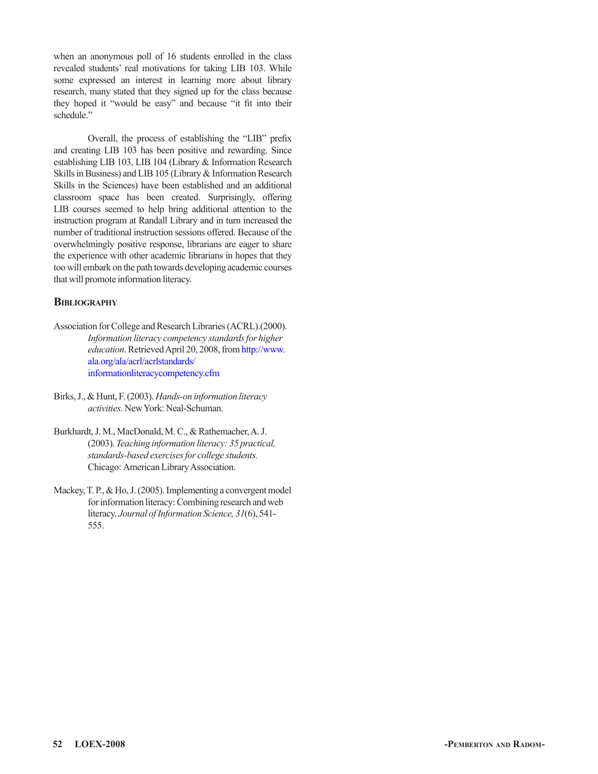when an anonymous poll of 16 students enrolled in the class revealed students' real motivations for taking LIB 103. While some expressed an interest in learning more about library research, many stated that they signed up for the class because they hoped it "would be easy" and because "it fit into their schedule."

Overall, the process of establishing the "LIB" prefix and creating LIB 103 has been positive and rewarding. Since establishing LIB 103, LIB 104 (Library & Information Research Skills in Business) and LIB 105 (Library & Information Research Skills in the Sciences) have been established and an additional classroom space has been created. Surprisingly, offering LIB courses seemed to help bring additional attention to the instruction program at Randall Library and in turn increased the number of traditional instruction sessions offered. Because of the overwhelmingly positive response, librarians are eager to share the experience with other academic librarians in hopes that they too will embark on the path towards developing academic courses that will promote information literacy.

# **Bibliography**

- Association for College and Research Libraries (ACRL).(2000). *Information literacy competency standards for higher education*. Retrieved April 20, 2008, from http://www. ala.org/ala/acrl/acrlstandards/ informationliteracycompetency.cfm
- Birks, J., & Hunt, F. (2003). *Hands-on information literacy activities.* New York: Neal-Schuman.
- Burkhardt, J. M., MacDonald, M. C., & Rathemacher, A. J. (2003). *Teaching information literacy: 35 practical, standards-based exercises for college students.*  Chicago: American Library Association.
- Mackey, T. P., & Ho, J. (2005). Implementing a convergent model for information literacy: Combining research and web literacy. *Journal of Information Science, 31*(6), 541- 555.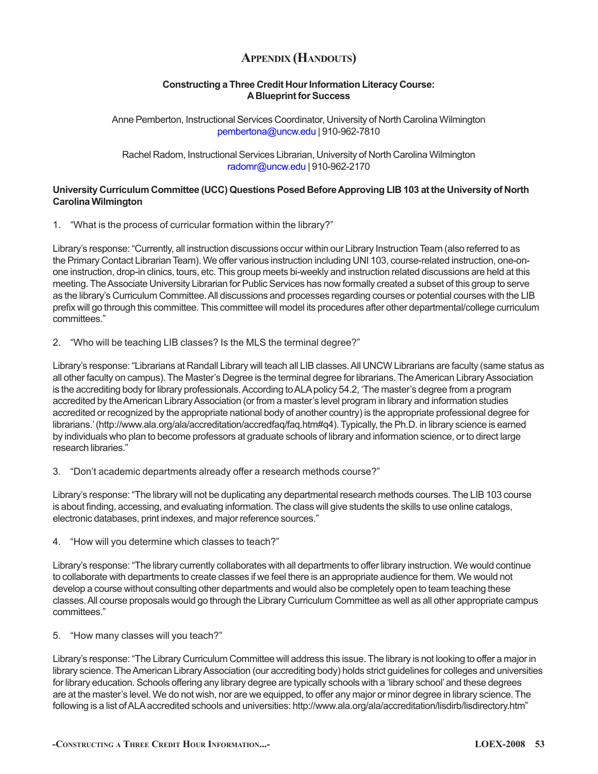# **Appendix (Handouts)**

# **Constructing a Three Credit Hour Information Literacy Course: A Blueprint for Success**

Anne Pemberton, Instructional Services Coordinator, University of North Carolina Wilmington pembertona@uncw.edu | 910-962-7810

Rachel Radom, Instructional Services Librarian, University of North Carolina Wilmington radomr@uncw.edu | 910-962-2170

# **University Curriculum Committee (UCC) Questions Posed Before Approving LIB 103 at the University of North Carolina Wilmington**

1. "What is the process of curricular formation within the library?"

Library's response: "Currently, all instruction discussions occur within our Library Instruction Team (also referred to as the Primary Contact Librarian Team). We offer various instruction including UNI 103, course-related instruction, one-onone instruction, drop-in clinics, tours, etc. This group meets bi-weekly and instruction related discussions are held at this meeting. The Associate University Librarian for Public Services has now formally created a subset of this group to serve as the library's Curriculum Committee. All discussions and processes regarding courses or potential courses with the LIB prefix will go through this committee. This committee will model its procedures after other departmental/college curriculum committees."

2. "Who will be teaching LIB classes? Is the MLS the terminal degree?"

Library's response: "Librarians at Randall Library will teach all LIB classes. All UNCW Librarians are faculty (same status as all other faculty on campus). The Master's Degree is the terminal degree for librarians. The American Library Association is the accrediting body for library professionals. According to ALA policy 54.2, 'The master's degree from a program accredited by the American Library Association (or from a master's level program in library and information studies accredited or recognized by the appropriate national body of another country) is the appropriate professional degree for librarians.' (http://www.ala.org/ala/accreditation/accredfaq/faq.htm#q4). Typically, the Ph.D. in library science is earned by individuals who plan to become professors at graduate schools of library and information science, or to direct large research libraries."

3. "Don't academic departments already offer a research methods course?"

Library's response: "The library will not be duplicating any departmental research methods courses. The LIB 103 course is about finding, accessing, and evaluating information. The class will give students the skills to use online catalogs, electronic databases, print indexes, and major reference sources."

4. "How will you determine which classes to teach?"

Library's response: "The library currently collaborates with all departments to offer library instruction. We would continue to collaborate with departments to create classes if we feel there is an appropriate audience for them. We would not develop a course without consulting other departments and would also be completely open to team teaching these classes. All course proposals would go through the Library Curriculum Committee as well as all other appropriate campus committees."

5. "How many classes will you teach?"

Library's response: "The Library Curriculum Committee will address this issue. The library is not looking to offer a major in library science. The American Library Association (our accrediting body) holds strict guidelines for colleges and universities for library education. Schools offering any library degree are typically schools with a 'library school' and these degrees are at the master's level. We do not wish, nor are we equipped, to offer any major or minor degree in library science. The following is a list of ALA accredited schools and universities: http://www.ala.org/ala/accreditation/lisdirb/lisdirectory.htm"